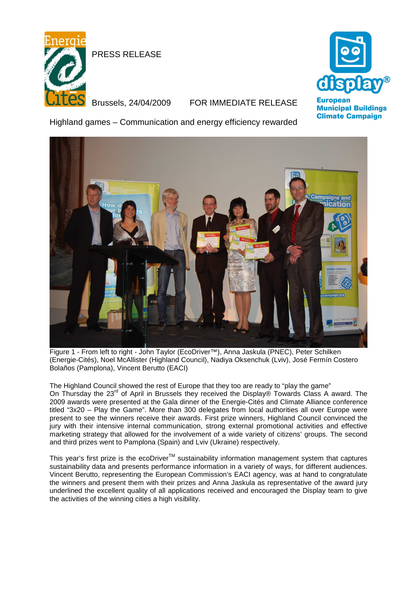

PRESS RELEASE

## Brussels, 24/04/2009 FOR IMMEDIATE RELEASE



**Municipal Buildings Climate Campaign** 

Highland games – Communication and energy efficiency rewarded



Figure 1 - From left to right - John Taylor (EcoDriver™), Anna Jaskula (PNEC), Peter Schilken (Energie-Cités), Noel McAllister (Highland Council), Nadiya Oksenchuk (Lviv), José Fermín Costero Bolaños (Pamplona), Vincent Berutto (EACI)

The Highland Council showed the rest of Europe that they too are ready to "play the game" On Thursday the 23<sup>rd</sup> of April in Brussels they received the Display® Towards Class A award. The 2009 awards were presented at the Gala dinner of the Energie-Cités and Climate Alliance conference titled "3x20 – Play the Game". More than 300 delegates from local authorities all over Europe were present to see the winners receive their awards. First prize winners, Highland Council convinced the jury with their intensive internal communication, strong external promotional activities and effective marketing strategy that allowed for the involvement of a wide variety of citizens' groups. The second and third prizes went to Pamplona (Spain) and Lviv (Ukraine) respectively.

This year's first prize is the ecoDriver™ sustainability information management system that captures sustainability data and presents performance information in a variety of ways, for different audiences. Vincent Berutto, representing the European Commission's EACI agency, was at hand to congratulate the winners and present them with their prizes and Anna Jaskula as representative of the award jury underlined the excellent quality of all applications received and encouraged the Display team to give the activities of the winning cities a high visibility.